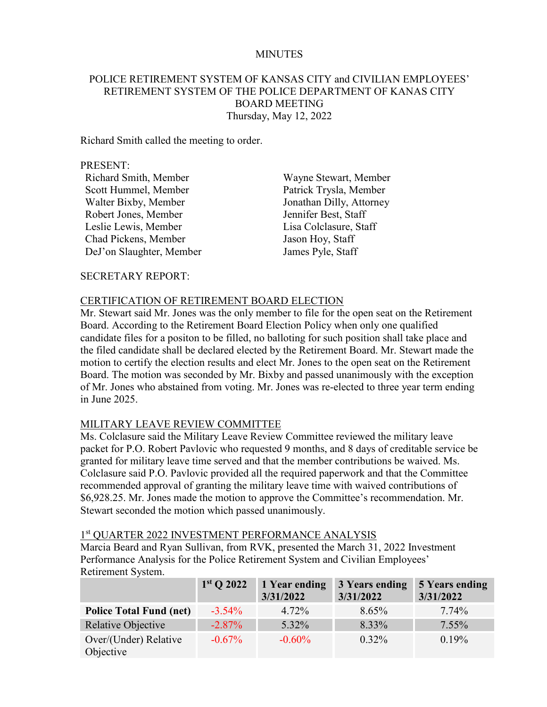### MINUTES

## POLICE RETIREMENT SYSTEM OF KANSAS CITY and CIVILIAN EMPLOYEES' RETIREMENT SYSTEM OF THE POLICE DEPARTMENT OF KANAS CITY BOARD MEETING Thursday, May 12, 2022

Richard Smith called the meeting to order.

#### PRESENT:

| Richard Smith, Member    |
|--------------------------|
| Scott Hummel, Member     |
| Walter Bixby, Member     |
| Robert Jones, Member     |
| Leslie Lewis, Member     |
| Chad Pickens, Member     |
| DeJ'on Slaughter, Member |

Wayne Stewart, Member Patrick Trysla, Member Jonathan Dilly, Attorney Jennifer Best, Staff Lisa Colclasure, Staff Jason Hoy, Staff James Pyle, Staff

#### SECRETARY REPORT:

#### CERTIFICATION OF RETIREMENT BOARD ELECTION

Mr. Stewart said Mr. Jones was the only member to file for the open seat on the Retirement Board. According to the Retirement Board Election Policy when only one qualified candidate files for a positon to be filled, no balloting for such position shall take place and the filed candidate shall be declared elected by the Retirement Board. Mr. Stewart made the motion to certify the election results and elect Mr. Jones to the open seat on the Retirement Board. The motion was seconded by Mr. Bixby and passed unanimously with the exception of Mr. Jones who abstained from voting. Mr. Jones was re-elected to three year term ending in June 2025.

#### MILITARY LEAVE REVIEW COMMITTEE

Ms. Colclasure said the Military Leave Review Committee reviewed the military leave packet for P.O. Robert Pavlovic who requested 9 months, and 8 days of creditable service be granted for military leave time served and that the member contributions be waived. Ms. Colclasure said P.O. Pavlovic provided all the required paperwork and that the Committee recommended approval of granting the military leave time with waived contributions of \$6,928.25. Mr. Jones made the motion to approve the Committee's recommendation. Mr. Stewart seconded the motion which passed unanimously.

#### 1st QUARTER 2022 INVESTMENT PERFORMANCE ANALYSIS

Marcia Beard and Ryan Sullivan, from RVK, presented the March 31, 2022 Investment Performance Analysis for the Police Retirement System and Civilian Employees' Retirement System.

|                                    | $1st$ Q 2022 | 1 Year ending<br>3/31/2022 | 3 Years ending<br>3/31/2022 | <b>5 Years ending</b><br>3/31/2022 |
|------------------------------------|--------------|----------------------------|-----------------------------|------------------------------------|
| <b>Police Total Fund (net)</b>     | $-3.54\%$    | 4.72%                      | $8.65\%$                    | 7.74%                              |
| Relative Objective                 | $-2.87\%$    | 5.32%                      | 8.33%                       | $7.55\%$                           |
| Over/(Under) Relative<br>Objective | $-0.67\%$    | $-0.60\%$                  | $0.32\%$                    | $0.19\%$                           |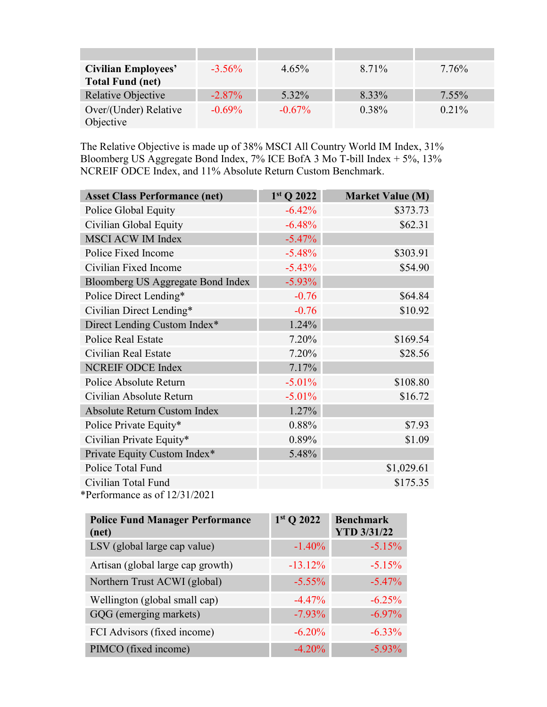| <b>Civilian Employees'</b><br><b>Total Fund (net)</b> | $-3.56\%$ | $4.65\%$  | 8.71%    | 7.76%    |
|-------------------------------------------------------|-----------|-----------|----------|----------|
| <b>Relative Objective</b>                             | $-2.87\%$ | 5.32%     | 8.33%    | $7.55\%$ |
| Over/(Under) Relative<br>Objective                    | $-0.69\%$ | $-0.67\%$ | $0.38\%$ | $0.21\%$ |

The Relative Objective is made up of 38% MSCI All Country World IM Index, 31% Bloomberg US Aggregate Bond Index, 7% ICE BofA 3 Mo T-bill Index + 5%, 13% NCREIF ODCE Index, and 11% Absolute Return Custom Benchmark.

| <b>Asset Class Performance (net)</b> | 1st Q 2022 | <b>Market Value (M)</b> |
|--------------------------------------|------------|-------------------------|
| Police Global Equity                 | $-6.42%$   | \$373.73                |
| Civilian Global Equity               | $-6.48%$   | \$62.31                 |
| <b>MSCI ACW IM Index</b>             | $-5.47%$   |                         |
| Police Fixed Income                  | $-5.48%$   | \$303.91                |
| Civilian Fixed Income                | $-5.43%$   | \$54.90                 |
| Bloomberg US Aggregate Bond Index    | $-5.93\%$  |                         |
| Police Direct Lending*               | $-0.76$    | \$64.84                 |
| Civilian Direct Lending*             | $-0.76$    | \$10.92                 |
| Direct Lending Custom Index*         | 1.24%      |                         |
| <b>Police Real Estate</b>            | 7.20%      | \$169.54                |
| Civilian Real Estate                 | 7.20%      | \$28.56                 |
| <b>NCREIF ODCE Index</b>             | 7.17%      |                         |
| Police Absolute Return               | $-5.01%$   | \$108.80                |
| Civilian Absolute Return             | $-5.01%$   | \$16.72                 |
| <b>Absolute Return Custom Index</b>  | 1.27%      |                         |
| Police Private Equity*               | 0.88%      | \$7.93                  |
| Civilian Private Equity*             | 0.89%      | \$1.09                  |
| Private Equity Custom Index*         | 5.48%      |                         |
| Police Total Fund                    |            | \$1,029.61              |
| Civilian Total Fund                  |            | \$175.35                |
| *Performance as of 12/31/2021        |            |                         |

| <b>Police Fund Manager Performance</b><br>(net) | $1st$ Q 2022 | <b>Benchmark</b><br><b>YTD 3/31/22</b> |
|-------------------------------------------------|--------------|----------------------------------------|
| LSV (global large cap value)                    | $-1.40%$     | $-5.15%$                               |
| Artisan (global large cap growth)               | $-13.12%$    | $-5.15%$                               |
| Northern Trust ACWI (global)                    | $-5.55\%$    | $-5.47\%$                              |
| Wellington (global small cap)                   | $-4.47%$     | $-6.25%$                               |
| GQG (emerging markets)                          | $-7.93\%$    | $-6.97\%$                              |
| FCI Advisors (fixed income)                     | $-6.20%$     | $-6.33\%$                              |
| PIMCO (fixed income)                            | $-4.20%$     | $-5.93\%$                              |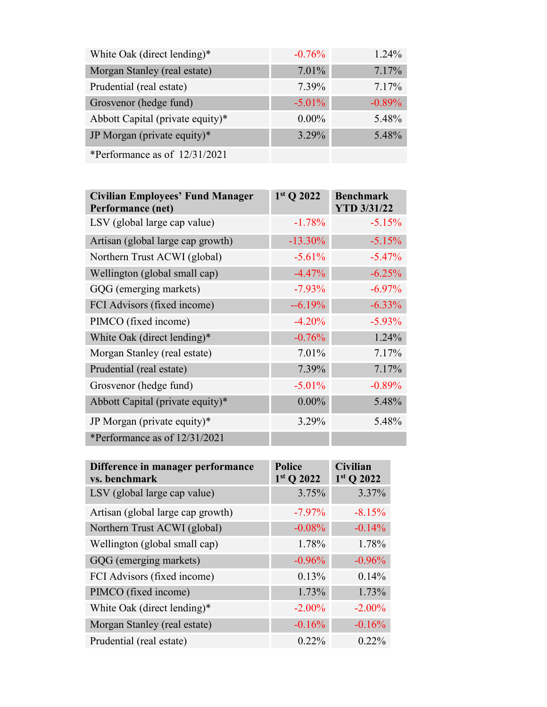| White Oak (direct lending)*      | $-0.76%$  | $1.24\%$ |
|----------------------------------|-----------|----------|
| Morgan Stanley (real estate)     | 7.01%     | 7.17%    |
| Prudential (real estate)         | 7.39%     | 7.17%    |
| Grosvenor (hedge fund)           | $-5.01\%$ | $-0.89%$ |
| Abbott Capital (private equity)* | $0.00\%$  | 5.48%    |
| JP Morgan (private equity)*      | 3.29%     | 5.48%    |
| *Performance as of 12/31/2021    |           |          |

| <b>Civilian Employees' Fund Manager</b><br>Performance (net) | 1st Q 2022 | <b>Benchmark</b><br><b>YTD 3/31/22</b> |
|--------------------------------------------------------------|------------|----------------------------------------|
| LSV (global large cap value)                                 | $-1.78%$   | $-5.15%$                               |
| Artisan (global large cap growth)                            | $-13.30%$  | $-5.15%$                               |
| Northern Trust ACWI (global)                                 | $-5.61%$   | $-5.47%$                               |
| Wellington (global small cap)                                | $-4.47%$   | $-6.25%$                               |
| GQG (emerging markets)                                       | $-7.93\%$  | $-6.97\%$                              |
| FCI Advisors (fixed income)                                  | $-6.19%$   | $-6.33\%$                              |
| PIMCO (fixed income)                                         | $-4.20%$   | $-5.93\%$                              |
| White Oak (direct lending)*                                  | $-0.76%$   | 1.24%                                  |
| Morgan Stanley (real estate)                                 | 7.01%      | 7.17%                                  |
| Prudential (real estate)                                     | 7.39%      | 7.17%                                  |
| Grosvenor (hedge fund)                                       | $-5.01%$   | $-0.89%$                               |
| Abbott Capital (private equity)*                             | $0.00\%$   | 5.48%                                  |
| JP Morgan (private equity)*                                  | 3.29%      | 5.48%                                  |
| *Performance as of $12/31/2021$                              |            |                                        |

| Difference in manager performance<br>vs. benchmark | <b>Police</b><br>$1st$ Q 2022 | <b>Civilian</b><br>$1st$ Q 2022 |
|----------------------------------------------------|-------------------------------|---------------------------------|
| LSV (global large cap value)                       | 3.75%                         | 3.37%                           |
| Artisan (global large cap growth)                  | $-7.97%$                      | $-8.15%$                        |
| Northern Trust ACWI (global)                       | $-0.08%$                      | $-0.14%$                        |
| Wellington (global small cap)                      | 1.78%                         | 1.78%                           |
| GQG (emerging markets)                             | $-0.96%$                      | $-0.96%$                        |
| FCI Advisors (fixed income)                        | 0.13%                         | 0.14%                           |
| PIMCO (fixed income)                               | 1.73%                         | 1.73%                           |
| White Oak (direct lending)*                        | $-2.00\%$                     | $-2.00\%$                       |
| Morgan Stanley (real estate)                       | $-0.16%$                      | $-0.16%$                        |
| Prudential (real estate)                           | $0.22\%$                      | $0.22\%$                        |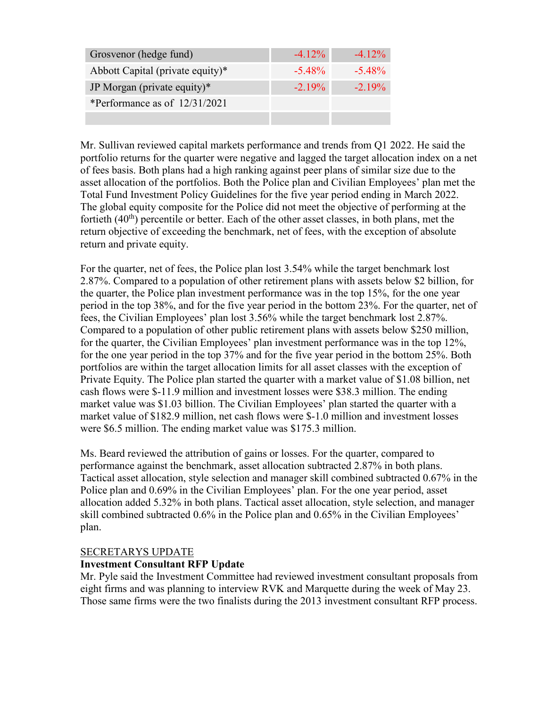| Grosvenor (hedge fund)           | $-4.12\%$ | $-4.12\%$ |
|----------------------------------|-----------|-----------|
| Abbott Capital (private equity)* | $-5.48\%$ | $-5.48\%$ |
| JP Morgan (private equity)*      | $-2.19\%$ | $-2.19\%$ |
| *Performance as of $12/31/2021$  |           |           |
|                                  |           |           |

Mr. Sullivan reviewed capital markets performance and trends from Q1 2022. He said the portfolio returns for the quarter were negative and lagged the target allocation index on a net of fees basis. Both plans had a high ranking against peer plans of similar size due to the asset allocation of the portfolios. Both the Police plan and Civilian Employees' plan met the Total Fund Investment Policy Guidelines for the five year period ending in March 2022. The global equity composite for the Police did not meet the objective of performing at the fortieth  $(40<sup>th</sup>)$  percentile or better. Each of the other asset classes, in both plans, met the return objective of exceeding the benchmark, net of fees, with the exception of absolute return and private equity.

For the quarter, net of fees, the Police plan lost 3.54% while the target benchmark lost 2.87%. Compared to a population of other retirement plans with assets below \$2 billion, for the quarter, the Police plan investment performance was in the top 15%, for the one year period in the top 38%, and for the five year period in the bottom 23%. For the quarter, net of fees, the Civilian Employees' plan lost 3.56% while the target benchmark lost 2.87%. Compared to a population of other public retirement plans with assets below \$250 million, for the quarter, the Civilian Employees' plan investment performance was in the top 12%, for the one year period in the top 37% and for the five year period in the bottom 25%. Both portfolios are within the target allocation limits for all asset classes with the exception of Private Equity. The Police plan started the quarter with a market value of \$1.08 billion, net cash flows were \$-11.9 million and investment losses were \$38.3 million. The ending market value was \$1.03 billion. The Civilian Employees' plan started the quarter with a market value of \$182.9 million, net cash flows were \$-1.0 million and investment losses were \$6.5 million. The ending market value was \$175.3 million.

Ms. Beard reviewed the attribution of gains or losses. For the quarter, compared to performance against the benchmark, asset allocation subtracted 2.87% in both plans. Tactical asset allocation, style selection and manager skill combined subtracted 0.67% in the Police plan and 0.69% in the Civilian Employees' plan. For the one year period, asset allocation added 5.32% in both plans. Tactical asset allocation, style selection, and manager skill combined subtracted 0.6% in the Police plan and 0.65% in the Civilian Employees' plan.

### SECRETARYS UPDATE

## **Investment Consultant RFP Update**

Mr. Pyle said the Investment Committee had reviewed investment consultant proposals from eight firms and was planning to interview RVK and Marquette during the week of May 23. Those same firms were the two finalists during the 2013 investment consultant RFP process.